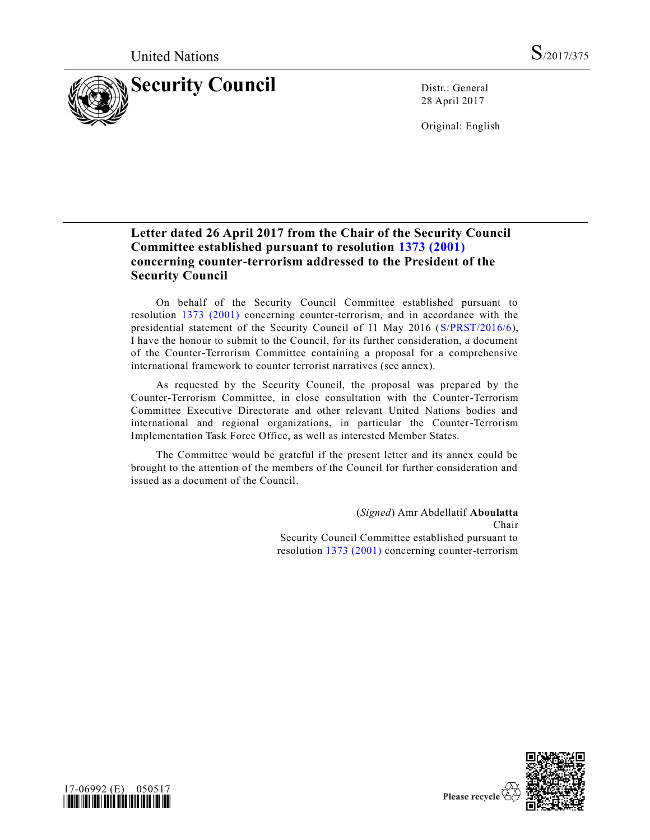

28 April 2017

Original: English

# **Letter dated 26 April 2017 from the Chair of the Security Council Committee established pursuant to resolution [1373 \(2001\)](https://undocs.org/S/RES/1373(2001)) concerning counter-terrorism addressed to the President of the Security Council**

On behalf of the Security Council Committee established pursuant to resolution [1373 \(2001\)](https://undocs.org/S/RES/1373(2001)) concerning counter-terrorism, and in accordance with the presidential statement of the Security Council of 11 May 2016 [\(S/PRST/2016/6\)](https://undocs.org/S/PRST/2016/6), I have the honour to submit to the Council, for its further consideration, a document of the Counter-Terrorism Committee containing a proposal for a comprehensive international framework to counter terrorist narratives (see annex).

As requested by the Security Council, the proposal was prepared by the Counter-Terrorism Committee, in close consultation with the Counter-Terrorism Committee Executive Directorate and other relevant United Nations bodies and international and regional organizations, in particular the Counter-Terrorism Implementation Task Force Office, as well as interested Member States.

The Committee would be grateful if the present letter and its annex could be brought to the attention of the members of the Council for further consideration and issued as a document of the Council.

> (*Signed*) Amr Abdellatif **Aboulatta** Chair Security Council Committee established pursuant to resolution [1373 \(2001\)](https://undocs.org/S/RES/1373(2001)) concerning counter-terrorism



Please recycle  $\Diamond$ 

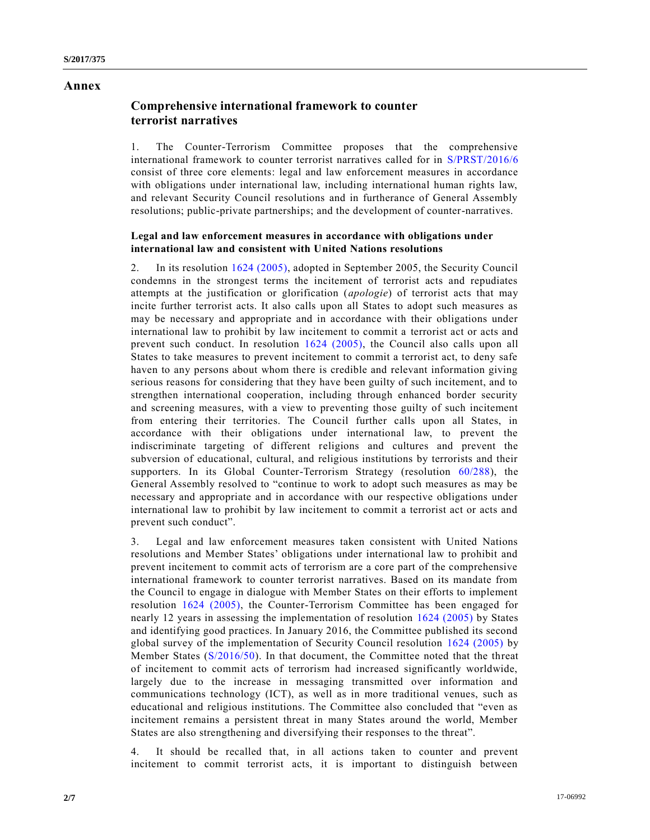## **Annex**

## **Comprehensive international framework to counter terrorist narratives**

1. The Counter-Terrorism Committee proposes that the comprehensive international framework to counter terrorist narratives called for in [S/PRST/2016/6](https://undocs.org/S/PRST/2016/6) consist of three core elements: legal and law enforcement measures in accordance with obligations under international law, including international human rights law, and relevant Security Council resolutions and in furtherance of General Assembly resolutions; public-private partnerships; and the development of counter-narratives.

## **Legal and law enforcement measures in accordance with obligations under international law and consistent with United Nations resolutions**

2. In its resolution [1624 \(2005\),](https://undocs.org/S/RES/1624(2005)) adopted in September 2005, the Security Council condemns in the strongest terms the incitement of terrorist acts and repudiates attempts at the justification or glorification (*apologie*) of terrorist acts that may incite further terrorist acts. It also calls upon all States to adopt such measures as may be necessary and appropriate and in accordance with their obligations under international law to prohibit by law incitement to commit a terrorist act or acts and prevent such conduct. In resolution [1624 \(2005\),](https://undocs.org/S/RES/1624(2005)) the Council also calls upon all States to take measures to prevent incitement to commit a terrorist act, to deny safe haven to any persons about whom there is credible and relevant information giving serious reasons for considering that they have been guilty of such incitement, and to strengthen international cooperation, including through enhanced border security and screening measures, with a view to preventing those guilty of such incitement from entering their territories. The Council further calls upon all States, in accordance with their obligations under international law, to prevent the indiscriminate targeting of different religions and cultures and prevent the subversion of educational, cultural, and religious institutions by terrorists and their supporters. In its Global Counter-Terrorism Strategy (resolution [60/288\)](https://undocs.org/A/RES/60/288), the General Assembly resolved to "continue to work to adopt such measures as may be necessary and appropriate and in accordance with our respective obligations under international law to prohibit by law incitement to commit a terrorist act or acts and prevent such conduct".

3. Legal and law enforcement measures taken consistent with United Nations resolutions and Member States' obligations under international law to prohibit and prevent incitement to commit acts of terrorism are a core part of the comprehensive international framework to counter terrorist narratives. Based on its mandate from the Council to engage in dialogue with Member States on their efforts to implement resolution [1624 \(2005\),](https://undocs.org/S/RES/1624(2005)) the Counter-Terrorism Committee has been engaged for nearly 12 years in assessing the implementation of resolution [1624 \(2005\)](https://undocs.org/S/RES/1624(2005)) by States and identifying good practices. In January 2016, the Committee published its second global survey of the implementation of Security Council resolution [1624 \(2005\)](https://undocs.org/S/RES/1624(2005)) by Member States [\(S/2016/50\)](https://undocs.org/S/2016/50). In that document, the Committee noted that the threat of incitement to commit acts of terrorism had increased significantly worldwide, largely due to the increase in messaging transmitted over information and communications technology (ICT), as well as in more traditional venues, such as educational and religious institutions. The Committee also concluded that "even as incitement remains a persistent threat in many States around the world, Member States are also strengthening and diversifying their responses to the threat".

4. It should be recalled that, in all actions taken to counter and prevent incitement to commit terrorist acts, it is important to distinguish between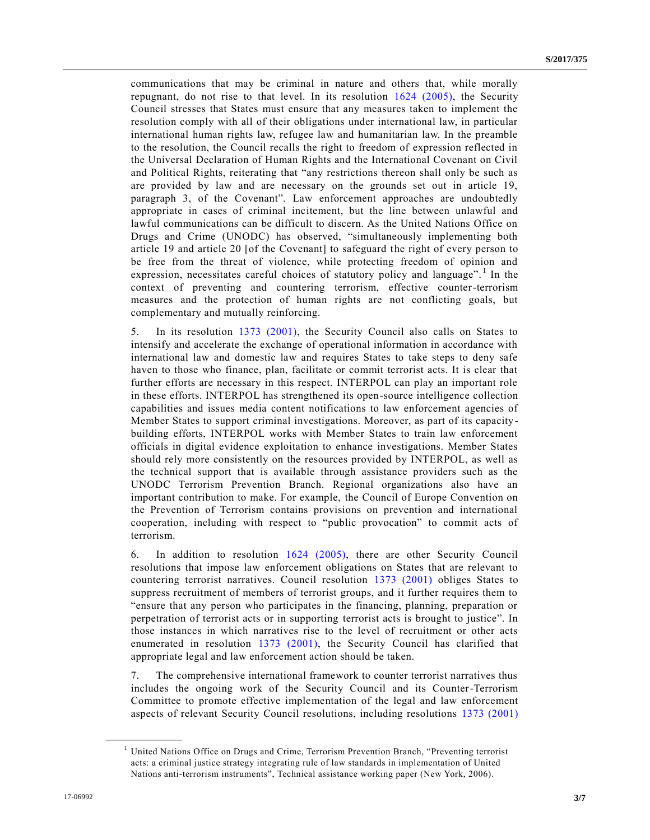communications that may be criminal in nature and others that, while morally repugnant, do not rise to that level. In its resolution [1624 \(2005\),](https://undocs.org/S/RES/1624(2005)) the Security Council stresses that States must ensure that any measures taken to implement the resolution comply with all of their obligations under international law, in particular international human rights law, refugee law and humanitarian law. In the preamble to the resolution, the Council recalls the right to freedom of expression reflected in the Universal Declaration of Human Rights and the International Covenant on Civil and Political Rights, reiterating that "any restrictions thereon shall only be such as are provided by law and are necessary on the grounds set out in article 19, paragraph 3, of the Covenant". Law enforcement approaches are undoubtedly appropriate in cases of criminal incitement, but the line between unlawful and lawful communications can be difficult to discern. As the United Nations Office on Drugs and Crime (UNODC) has observed, "simultaneously implementing both article 19 and article 20 [of the Covenant] to safeguard the right of every person to be free from the threat of violence, while protecting freedom of opinion and expression, necessitates careful choices of statutory policy and language".<sup>1</sup> In the context of preventing and countering terrorism, effective counter-terrorism measures and the protection of human rights are not conflicting goals, but complementary and mutually reinforcing.

5. In its resolution [1373 \(2001\),](https://undocs.org/S/RES/1373(2001)) the Security Council also calls on States to intensify and accelerate the exchange of operational information in accordance with international law and domestic law and requires States to take steps to deny safe haven to those who finance, plan, facilitate or commit terrorist acts. It is clear that further efforts are necessary in this respect. INTERPOL can play an important role in these efforts. INTERPOL has strengthened its open-source intelligence collection capabilities and issues media content notifications to law enforcement agencies of Member States to support criminal investigations. Moreover, as part of its capacity building efforts, INTERPOL works with Member States to train law enforcement officials in digital evidence exploitation to enhance investigations. Member States should rely more consistently on the resources provided by INTERPOL, as well as the technical support that is available through assistance providers such as the UNODC Terrorism Prevention Branch. Regional organizations also have an important contribution to make. For example, the Council of Europe Convention on the Prevention of Terrorism contains provisions on prevention and international cooperation, including with respect to "public provocation" to commit acts of terrorism.

6. In addition to resolution [1624 \(2005\),](https://undocs.org/S/RES/1624(2005)) there are other Security Council resolutions that impose law enforcement obligations on States that are relevant to countering terrorist narratives. Council resolution [1373 \(2001\)](https://undocs.org/S/RES/1373(2001)) obliges States to suppress recruitment of members of terrorist groups, and it further requires them to "ensure that any person who participates in the financing, planning, preparation or perpetration of terrorist acts or in supporting terrorist acts is brought to justice". In those instances in which narratives rise to the level of recruitment or other acts enumerated in resolution [1373 \(2001\),](https://undocs.org/S/RES/1373(2001)) the Security Council has clarified that appropriate legal and law enforcement action should be taken.

7. The comprehensive international framework to counter terrorist narratives thus includes the ongoing work of the Security Council and its Counter-Terrorism Committee to promote effective implementation of the legal and law enforcement aspects of relevant Security Council resolutions, including resolutions [1373 \(2001\)](https://undocs.org/S/RES/1373(2001))

**\_\_\_\_\_\_\_\_\_\_\_\_\_\_\_\_\_\_**

<sup>&</sup>lt;sup>1</sup> United Nations Office on Drugs and Crime, Terrorism Prevention Branch, "Preventing terrorist acts: a criminal justice strategy integrating rule of law standards in implementation of United Nations anti-terrorism instruments", Technical assistance working paper (New York, 2006).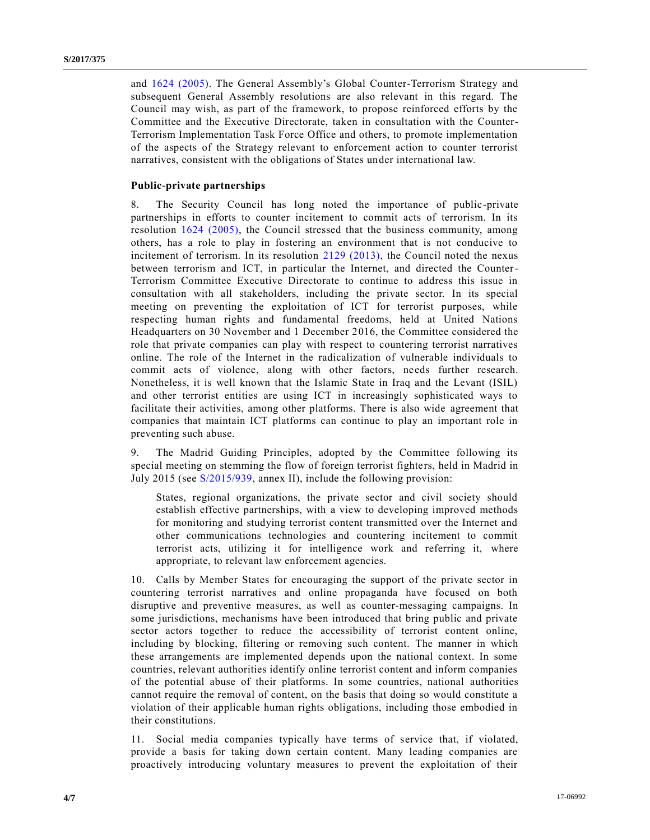and [1624 \(2005\).](https://undocs.org/S/RES/1624(2005)) The General Assembly's Global Counter-Terrorism Strategy and subsequent General Assembly resolutions are also relevant in this regard. The Council may wish, as part of the framework, to propose reinforced efforts by the Committee and the Executive Directorate, taken in consultation with the Counter-Terrorism Implementation Task Force Office and others, to promote implementation of the aspects of the Strategy relevant to enforcement action to counter terrorist narratives, consistent with the obligations of States under international law.

#### **Public-private partnerships**

8. The Security Council has long noted the importance of public-private partnerships in efforts to counter incitement to commit acts of terrorism. In its resolution [1624 \(2005\),](https://undocs.org/S/RES/1624(2005)) the Council stressed that the business community, among others, has a role to play in fostering an environment that is not conducive to incitement of terrorism. In its resolution [2129 \(2013\),](https://undocs.org/S/RES/2129(2013)) the Council noted the nexus between terrorism and ICT, in particular the Internet, and directed the Counter-Terrorism Committee Executive Directorate to continue to address this issue in consultation with all stakeholders, including the private sector. In its special meeting on preventing the exploitation of ICT for terrorist purposes, while respecting human rights and fundamental freedoms, held at United Nations Headquarters on 30 November and 1 December 2016, the Committee considered the role that private companies can play with respect to countering terrorist narratives online. The role of the Internet in the radicalization of vulnerable individuals to commit acts of violence, along with other factors, needs further research. Nonetheless, it is well known that the Islamic State in Iraq and the Levant (ISIL) and other terrorist entities are using ICT in increasingly sophisticated ways to facilitate their activities, among other platforms. There is also wide agreement that companies that maintain ICT platforms can continue to play an important role in preventing such abuse.

9. The Madrid Guiding Principles, adopted by the Committee following its special meeting on stemming the flow of foreign terrorist fighters, held in Madrid in July 2015 (see [S/2015/939,](https://undocs.org/S/2015/939) annex II), include the following provision:

States, regional organizations, the private sector and civil society should establish effective partnerships, with a view to developing improved methods for monitoring and studying terrorist content transmitted over the Internet and other communications technologies and countering incitement to commit terrorist acts, utilizing it for intelligence work and referring it, where appropriate, to relevant law enforcement agencies.

10. Calls by Member States for encouraging the support of the private sector in countering terrorist narratives and online propaganda have focused on both disruptive and preventive measures, as well as counter-messaging campaigns. In some jurisdictions, mechanisms have been introduced that bring public and private sector actors together to reduce the accessibility of terrorist content online, including by blocking, filtering or removing such content. The manner in which these arrangements are implemented depends upon the national context. In some countries, relevant authorities identify online terrorist content and inform companies of the potential abuse of their platforms. In some countries, national authorities cannot require the removal of content, on the basis that doing so would constitute a violation of their applicable human rights obligations, including those embodied in their constitutions.

11. Social media companies typically have terms of service that, if violated, provide a basis for taking down certain content. Many leading companies are proactively introducing voluntary measures to prevent the exploitation of their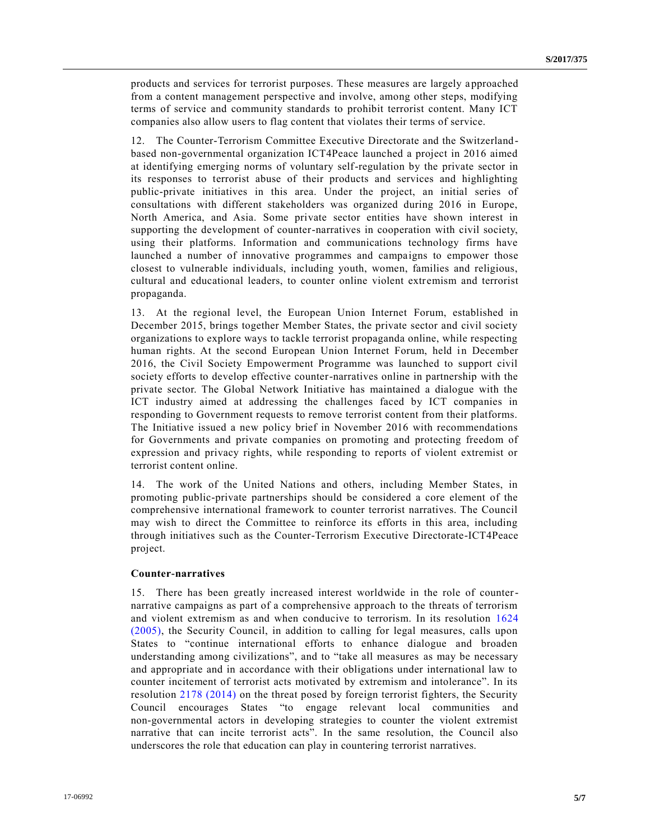products and services for terrorist purposes. These measures are largely approached from a content management perspective and involve, among other steps, modifying terms of service and community standards to prohibit terrorist content. Many ICT companies also allow users to flag content that violates their terms of service.

12. The Counter-Terrorism Committee Executive Directorate and the Switzerlandbased non-governmental organization ICT4Peace launched a project in 2016 aimed at identifying emerging norms of voluntary self-regulation by the private sector in its responses to terrorist abuse of their products and services and highlighting public-private initiatives in this area. Under the project, an initial series of consultations with different stakeholders was organized during 2016 in Europe, North America, and Asia. Some private sector entities have shown interest in supporting the development of counter-narratives in cooperation with civil society, using their platforms. Information and communications technology firms have launched a number of innovative programmes and campaigns to empower those closest to vulnerable individuals, including youth, women, families and religious, cultural and educational leaders, to counter online violent extremism and terrorist propaganda.

13. At the regional level, the European Union Internet Forum, established in December 2015, brings together Member States, the private sector and civil society organizations to explore ways to tackle terrorist propaganda online, while respecting human rights. At the second European Union Internet Forum, held in December 2016, the Civil Society Empowerment Programme was launched to support civil society efforts to develop effective counter-narratives online in partnership with the private sector. The Global Network Initiative has maintained a dialogue with the ICT industry aimed at addressing the challenges faced by ICT companies in responding to Government requests to remove terrorist content from their platforms. The Initiative issued a new policy brief in November 2016 with recommendations for Governments and private companies on promoting and protecting freedom of expression and privacy rights, while responding to reports of violent extremist or terrorist content online.

14. The work of the United Nations and others, including Member States, in promoting public-private partnerships should be considered a core element of the comprehensive international framework to counter terrorist narratives. The Council may wish to direct the Committee to reinforce its efforts in this area, including through initiatives such as the Counter-Terrorism Executive Directorate-ICT4Peace project.

#### **Counter-narratives**

15. There has been greatly increased interest worldwide in the role of counternarrative campaigns as part of a comprehensive approach to the threats of terrorism and violent extremism as and when conducive to terrorism. In its resolution [1624](https://undocs.org/S/RES/1624(2005))  [\(2005\),](https://undocs.org/S/RES/1624(2005)) the Security Council, in addition to calling for legal measures, calls upon States to "continue international efforts to enhance dialogue and broaden understanding among civilizations", and to "take all measures as may be necessary and appropriate and in accordance with their obligations under international law to counter incitement of terrorist acts motivated by extremism and intolerance". In its resolution 2178 [\(2014\)](https://undocs.org/S/RES/2178(2014)) on the threat posed by foreign terrorist fighters, the Security Council encourages States "to engage relevant local communities and non-governmental actors in developing strategies to counter the violent extremist narrative that can incite terrorist acts". In the same resolution, the Council also underscores the role that education can play in countering terrorist narratives.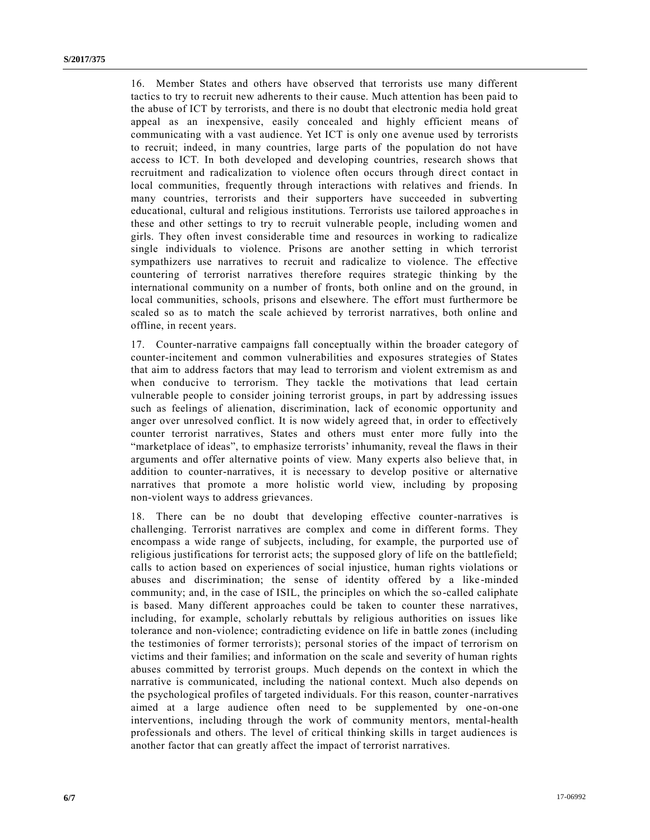16. Member States and others have observed that terrorists use many different tactics to try to recruit new adherents to their cause. Much attention has been paid to the abuse of ICT by terrorists, and there is no doubt that electronic media hold great appeal as an inexpensive, easily concealed and highly efficient means of communicating with a vast audience. Yet ICT is only one avenue used by terrorists to recruit; indeed, in many countries, large parts of the population do not have access to ICT. In both developed and developing countries, research shows that recruitment and radicalization to violence often occurs through direct contact in local communities, frequently through interactions with relatives and friends. In many countries, terrorists and their supporters have succeeded in subverting educational, cultural and religious institutions. Terrorists use tailored approache s in these and other settings to try to recruit vulnerable people, including women and girls. They often invest considerable time and resources in working to radicalize single individuals to violence. Prisons are another setting in which terrorist sympathizers use narratives to recruit and radicalize to violence. The effective countering of terrorist narratives therefore requires strategic thinking by the international community on a number of fronts, both online and on the ground, in local communities, schools, prisons and elsewhere. The effort must furthermore be scaled so as to match the scale achieved by terrorist narratives, both online and offline, in recent years.

17. Counter-narrative campaigns fall conceptually within the broader category of counter-incitement and common vulnerabilities and exposures strategies of States that aim to address factors that may lead to terrorism and violent extremism as and when conducive to terrorism. They tackle the motivations that lead certain vulnerable people to consider joining terrorist groups, in part by addressing issues such as feelings of alienation, discrimination, lack of economic opportunity and anger over unresolved conflict. It is now widely agreed that, in order to effectively counter terrorist narratives, States and others must enter more fully into the "marketplace of ideas", to emphasize terrorists' inhumanity, reveal the flaws in their arguments and offer alternative points of view. Many experts also believe that, in addition to counter-narratives, it is necessary to develop positive or alternative narratives that promote a more holistic world view, including by proposing non-violent ways to address grievances.

18. There can be no doubt that developing effective counter-narratives is challenging. Terrorist narratives are complex and come in different forms. They encompass a wide range of subjects, including, for example, the purported use of religious justifications for terrorist acts; the supposed glory of life on the battlefield; calls to action based on experiences of social injustice, human rights violations or abuses and discrimination; the sense of identity offered by a like -minded community; and, in the case of ISIL, the principles on which the so-called caliphate is based. Many different approaches could be taken to counter these narratives, including, for example, scholarly rebuttals by religious authorities on issues like tolerance and non-violence; contradicting evidence on life in battle zones (including the testimonies of former terrorists); personal stories of the impact of terrorism on victims and their families; and information on the scale and severity of human rights abuses committed by terrorist groups. Much depends on the context in which the narrative is communicated, including the national context. Much also depends on the psychological profiles of targeted individuals. For this reason, counter-narratives aimed at a large audience often need to be supplemented by one -on-one interventions, including through the work of community mentors, mental-health professionals and others. The level of critical thinking skills in target audiences is another factor that can greatly affect the impact of terrorist narratives.